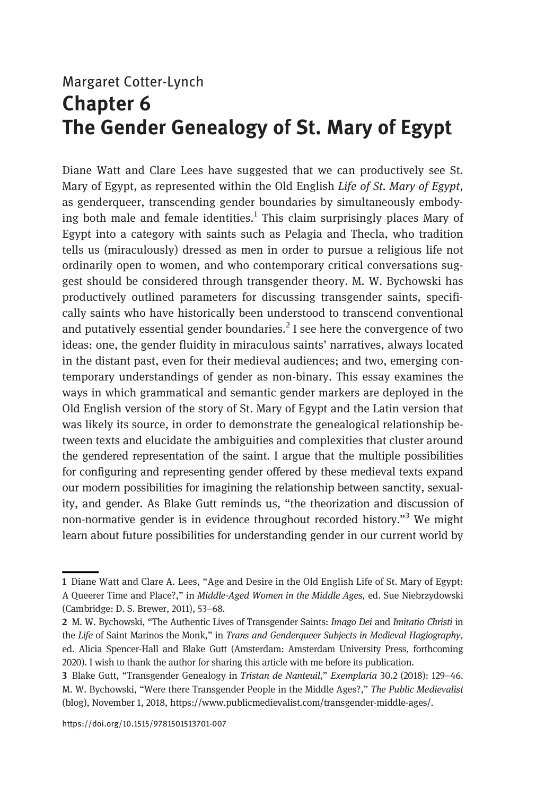## Margaret Cotter-Lynch Chapter 6 The Gender Genealogy of St. Mary of Egypt

Diane Watt and Clare Lees have suggested that we can productively see St. Mary of Egypt, as represented within the Old English Life of St. Mary of Egypt, as genderqueer, transcending gender boundaries by simultaneously embodying both male and female identities.<sup>1</sup> This claim surprisingly places Mary of Egypt into a category with saints such as Pelagia and Thecla, who tradition tells us (miraculously) dressed as men in order to pursue a religious life not ordinarily open to women, and who contemporary critical conversations suggest should be considered through transgender theory. M. W. Bychowski has productively outlined parameters for discussing transgender saints, specifically saints who have historically been understood to transcend conventional and putatively essential gender boundaries.<sup>2</sup> I see here the convergence of two ideas: one, the gender fluidity in miraculous saints' narratives, always located in the distant past, even for their medieval audiences; and two, emerging contemporary understandings of gender as non-binary. This essay examines the ways in which grammatical and semantic gender markers are deployed in the Old English version of the story of St. Mary of Egypt and the Latin version that was likely its source, in order to demonstrate the genealogical relationship between texts and elucidate the ambiguities and complexities that cluster around the gendered representation of the saint. I argue that the multiple possibilities for configuring and representing gender offered by these medieval texts expand our modern possibilities for imagining the relationship between sanctity, sexuality, and gender. As Blake Gutt reminds us, "the theorization and discussion of non-normative gender is in evidence throughout recorded history."<sup>3</sup> We might learn about future possibilities for understanding gender in our current world by

<sup>1</sup> Diane Watt and Clare A. Lees, "Age and Desire in the Old English Life of St. Mary of Egypt: A Queerer Time and Place?," in Middle-Aged Women in the Middle Ages, ed. Sue Niebrzydowski (Cambridge: D. S. Brewer, 2011), 53–68.

<sup>2</sup> M. W. Bychowski, "The Authentic Lives of Transgender Saints: Imago Dei and Imitatio Christi in the Life of Saint Marinos the Monk," in Trans and Genderqueer Subjects in Medieval Hagiography, ed. Alicia Spencer-Hall and Blake Gutt (Amsterdam: Amsterdam University Press, forthcoming 2020). I wish to thank the author for sharing this article with me before its publication.

<sup>3</sup> Blake Gutt, "Transgender Genealogy in Tristan de Nanteuil," Exemplaria 30.2 (2018): 129–46. M. W. Bychowski, "Were there Transgender People in the Middle Ages?," The Public Medievalist (blog), November 1, 2018,<https://www.publicmedievalist.com/transgender-middle-ages/>.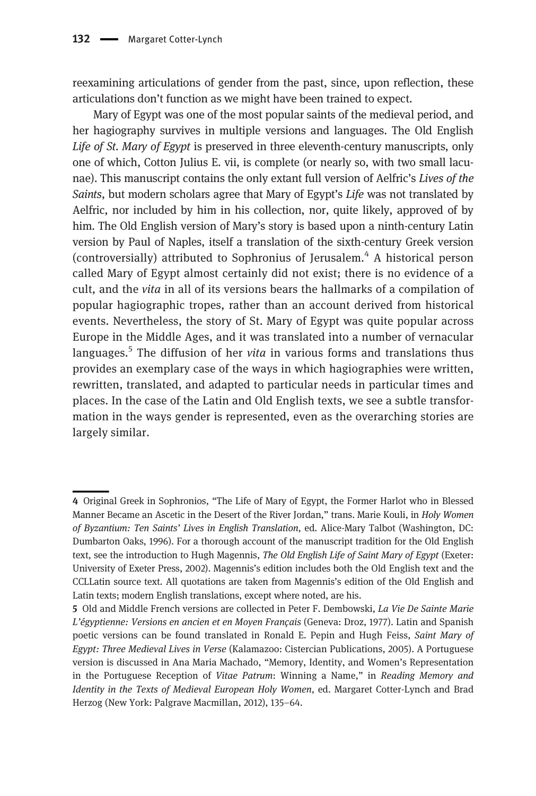reexamining articulations of gender from the past, since, upon reflection, these articulations don't function as we might have been trained to expect.

Mary of Egypt was one of the most popular saints of the medieval period, and her hagiography survives in multiple versions and languages. The Old English Life of St. Mary of Egypt is preserved in three eleventh-century manuscripts, only one of which, Cotton Julius E. vii, is complete (or nearly so, with two small lacunae). This manuscript contains the only extant full version of Aelfric's Lives of the Saints, but modern scholars agree that Mary of Egypt's Life was not translated by Aelfric, nor included by him in his collection, nor, quite likely, approved of by him. The Old English version of Mary's story is based upon a ninth-century Latin version by Paul of Naples, itself a translation of the sixth-century Greek version (controversially) attributed to Sophronius of Jerusalem.<sup>4</sup> A historical person called Mary of Egypt almost certainly did not exist; there is no evidence of a cult, and the vita in all of its versions bears the hallmarks of a compilation of popular hagiographic tropes, rather than an account derived from historical events. Nevertheless, the story of St. Mary of Egypt was quite popular across Europe in the Middle Ages, and it was translated into a number of vernacular languages.<sup>5</sup> The diffusion of her *vita* in various forms and translations thus provides an exemplary case of the ways in which hagiographies were written, rewritten, translated, and adapted to particular needs in particular times and places. In the case of the Latin and Old English texts, we see a subtle transformation in the ways gender is represented, even as the overarching stories are largely similar.

<sup>4</sup> Original Greek in Sophronios, "The Life of Mary of Egypt, the Former Harlot who in Blessed Manner Became an Ascetic in the Desert of the River Jordan," trans. Marie Kouli, in Holy Women of Byzantium: Ten Saints' Lives in English Translation, ed. Alice-Mary Talbot (Washington, DC: Dumbarton Oaks, 1996). For a thorough account of the manuscript tradition for the Old English text, see the introduction to Hugh Magennis, The Old English Life of Saint Mary of Egypt (Exeter: University of Exeter Press, 2002). Magennis's edition includes both the Old English text and the CCLLatin source text. All quotations are taken from Magennis's edition of the Old English and Latin texts; modern English translations, except where noted, are his.

<sup>5</sup> Old and Middle French versions are collected in Peter F. Dembowski, La Vie De Sainte Marie L'égyptienne: Versions en ancien et en Moyen Français (Geneva: Droz, 1977). Latin and Spanish poetic versions can be found translated in Ronald E. Pepin and Hugh Feiss, Saint Mary of Egypt: Three Medieval Lives in Verse (Kalamazoo: Cistercian Publications, 2005). A Portuguese version is discussed in Ana Maria Machado, "Memory, Identity, and Women's Representation in the Portuguese Reception of Vitae Patrum: Winning a Name," in Reading Memory and Identity in the Texts of Medieval European Holy Women, ed. Margaret Cotter-Lynch and Brad Herzog (New York: Palgrave Macmillan, 2012), 135–64.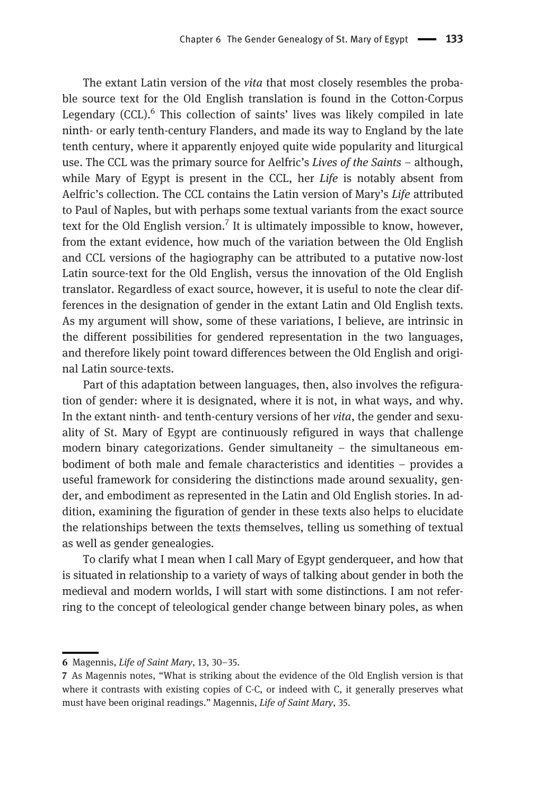The extant Latin version of the vita that most closely resembles the probable source text for the Old English translation is found in the Cotton-Corpus Legendary  $(CCL)$ <sup>6</sup> This collection of saints' lives was likely compiled in late ninth- or early tenth-century Flanders, and made its way to England by the late tenth century, where it apparently enjoyed quite wide popularity and liturgical use. The CCL was the primary source for Aelfric's Lives of the Saints – although, while Mary of Egypt is present in the CCL, her  $Life$  is notably absent from Aelfric's collection. The CCL contains the Latin version of Mary's Life attributed to Paul of Naples, but with perhaps some textual variants from the exact source text for the Old English version.<sup>7</sup> It is ultimately impossible to know, however, from the extant evidence, how much of the variation between the Old English and CCL versions of the hagiography can be attributed to a putative now-lost Latin source-text for the Old English, versus the innovation of the Old English translator. Regardless of exact source, however, it is useful to note the clear differences in the designation of gender in the extant Latin and Old English texts. As my argument will show, some of these variations, I believe, are intrinsic in the different possibilities for gendered representation in the two languages, and therefore likely point toward differences between the Old English and original Latin source-texts.

Part of this adaptation between languages, then, also involves the refiguration of gender: where it is designated, where it is not, in what ways, and why. In the extant ninth- and tenth-century versions of her vita, the gender and sexuality of St. Mary of Egypt are continuously refigured in ways that challenge modern binary categorizations. Gender simultaneity – the simultaneous embodiment of both male and female characteristics and identities – provides a useful framework for considering the distinctions made around sexuality, gender, and embodiment as represented in the Latin and Old English stories. In addition, examining the figuration of gender in these texts also helps to elucidate the relationships between the texts themselves, telling us something of textual as well as gender genealogies.

To clarify what I mean when I call Mary of Egypt genderqueer, and how that is situated in relationship to a variety of ways of talking about gender in both the medieval and modern worlds, I will start with some distinctions. I am not referring to the concept of teleological gender change between binary poles, as when

<sup>6</sup> Magennis, Life of Saint Mary, 13, 30–35.

<sup>7</sup> As Magennis notes, "What is striking about the evidence of the Old English version is that where it contrasts with existing copies of C-C, or indeed with C, it generally preserves what must have been original readings." Magennis, Life of Saint Mary, 35.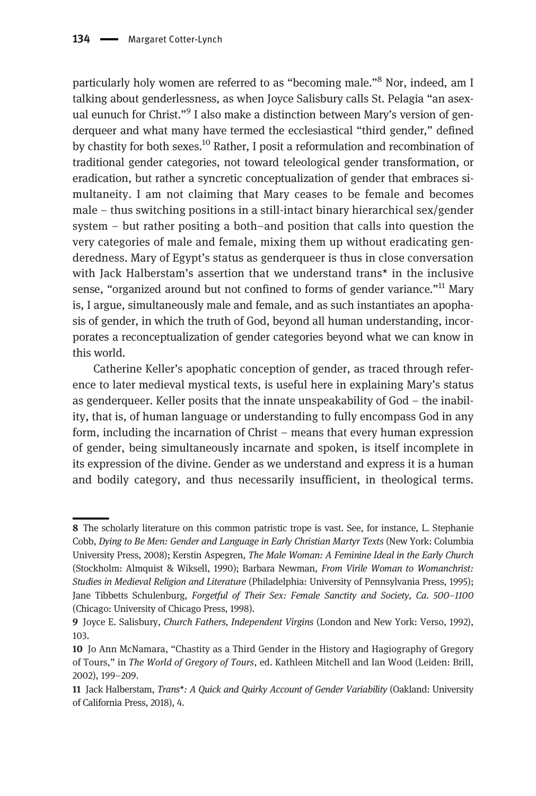particularly holy women are referred to as "becoming male."<sup>8</sup> Nor, indeed, am I talking about genderlessness, as when Joyce Salisbury calls St. Pelagia "an asexual eunuch for Christ."<sup>9</sup> I also make a distinction between Mary's version of genderqueer and what many have termed the ecclesiastical "third gender," defined by chastity for both sexes.<sup>10</sup> Rather, I posit a reformulation and recombination of traditional gender categories, not toward teleological gender transformation, or eradication, but rather a syncretic conceptualization of gender that embraces simultaneity. I am not claiming that Mary ceases to be female and becomes male – thus switching positions in a still-intact binary hierarchical sex/gender system – but rather positing a both–and position that calls into question the very categories of male and female, mixing them up without eradicating genderedness. Mary of Egypt's status as genderqueer is thus in close conversation with Jack Halberstam's assertion that we understand trans\* in the inclusive sense, "organized around but not confined to forms of gender variance."<sup>11</sup> Mary is, I argue, simultaneously male and female, and as such instantiates an apophasis of gender, in which the truth of God, beyond all human understanding, incorporates a reconceptualization of gender categories beyond what we can know in this world.

Catherine Keller's apophatic conception of gender, as traced through reference to later medieval mystical texts, is useful here in explaining Mary's status as genderqueer. Keller posits that the innate unspeakability of God – the inability, that is, of human language or understanding to fully encompass God in any form, including the incarnation of Christ – means that every human expression of gender, being simultaneously incarnate and spoken, is itself incomplete in its expression of the divine. Gender as we understand and express it is a human and bodily category, and thus necessarily insufficient, in theological terms.

<sup>8</sup> The scholarly literature on this common patristic trope is vast. See, for instance, L. Stephanie Cobb, Dying to Be Men: Gender and Language in Early Christian Martyr Texts (New York: Columbia University Press, 2008); Kerstin Aspegren, The Male Woman: A Feminine Ideal in the Early Church (Stockholm: Almquist & Wiksell, 1990); Barbara Newman, From Virile Woman to Womanchrist: Studies in Medieval Religion and Literature (Philadelphia: University of Pennsylvania Press, 1995); Jane Tibbetts Schulenburg, Forgetful of Their Sex: Female Sanctity and Society, Ca. 500-1100 (Chicago: University of Chicago Press, 1998).

<sup>9</sup> Joyce E. Salisbury, Church Fathers, Independent Virgins (London and New York: Verso, 1992), 103.

<sup>10</sup> Jo Ann McNamara, "Chastity as a Third Gender in the History and Hagiography of Gregory of Tours," in The World of Gregory of Tours, ed. Kathleen Mitchell and Ian Wood (Leiden: Brill, 2002), 199–209.

<sup>11</sup> Jack Halberstam, Trans\*: A Quick and Quirky Account of Gender Variability (Oakland: University of California Press, 2018), 4.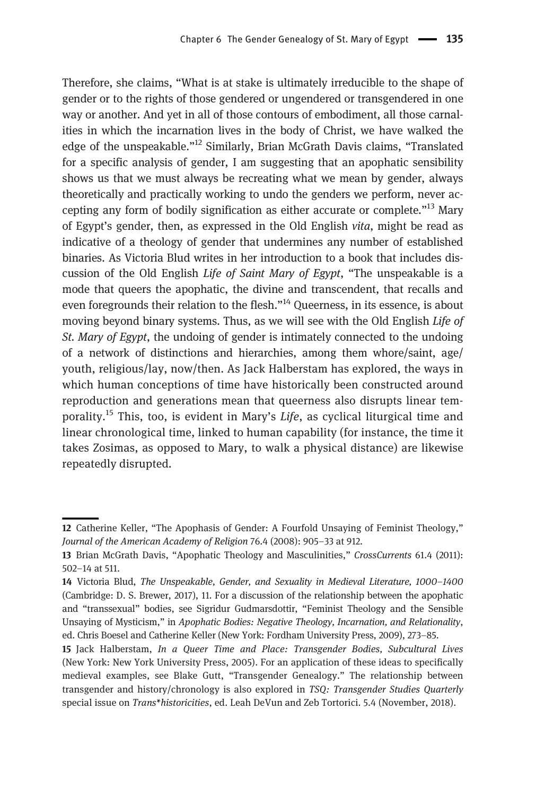Therefore, she claims, "What is at stake is ultimately irreducible to the shape of gender or to the rights of those gendered or ungendered or transgendered in one way or another. And yet in all of those contours of embodiment, all those carnalities in which the incarnation lives in the body of Christ, we have walked the edge of the unspeakable."<sup>12</sup> Similarly, Brian McGrath Davis claims, "Translated for a specific analysis of gender, I am suggesting that an apophatic sensibility shows us that we must always be recreating what we mean by gender, always theoretically and practically working to undo the genders we perform, never accepting any form of bodily signification as either accurate or complete. $13$  Mary of Egypt's gender, then, as expressed in the Old English vita, might be read as indicative of a theology of gender that undermines any number of established binaries. As Victoria Blud writes in her introduction to a book that includes discussion of the Old English Life of Saint Mary of Egypt, "The unspeakable is a mode that queers the apophatic, the divine and transcendent, that recalls and even foregrounds their relation to the flesh."<sup>14</sup> Queerness, in its essence, is about moving beyond binary systems. Thus, as we will see with the Old English Life of St. Mary of Egypt, the undoing of gender is intimately connected to the undoing of a network of distinctions and hierarchies, among them whore/saint, age/ youth, religious/lay, now/then. As Jack Halberstam has explored, the ways in which human conceptions of time have historically been constructed around reproduction and generations mean that queerness also disrupts linear temporality.<sup>15</sup> This, too, is evident in Mary's *Life*, as cyclical liturgical time and linear chronological time, linked to human capability (for instance, the time it takes Zosimas, as opposed to Mary, to walk a physical distance) are likewise repeatedly disrupted.

<sup>12</sup> Catherine Keller, "The Apophasis of Gender: A Fourfold Unsaying of Feminist Theology," Journal of the American Academy of Religion 76.4 (2008): 905–33 at 912.

<sup>13</sup> Brian McGrath Davis, "Apophatic Theology and Masculinities," CrossCurrents 61.4 (2011): 502–14 at 511.

<sup>14</sup> Victoria Blud, The Unspeakable, Gender, and Sexuality in Medieval Literature, 1000–1400 (Cambridge: D. S. Brewer, 2017), 11. For a discussion of the relationship between the apophatic and "transsexual" bodies, see Sigridur Gudmarsdottir, "Feminist Theology and the Sensible Unsaying of Mysticism," in Apophatic Bodies: Negative Theology, Incarnation, and Relationality, ed. Chris Boesel and Catherine Keller (New York: Fordham University Press, 2009), 273–85.

<sup>15</sup> Jack Halberstam, In a Queer Time and Place: Transgender Bodies, Subcultural Lives (New York: New York University Press, 2005). For an application of these ideas to specifically medieval examples, see Blake Gutt, "Transgender Genealogy." The relationship between transgender and history/chronology is also explored in TSQ: Transgender Studies Quarterly special issue on Trans\*historicities, ed. Leah DeVun and Zeb Tortorici. 5.4 (November, 2018).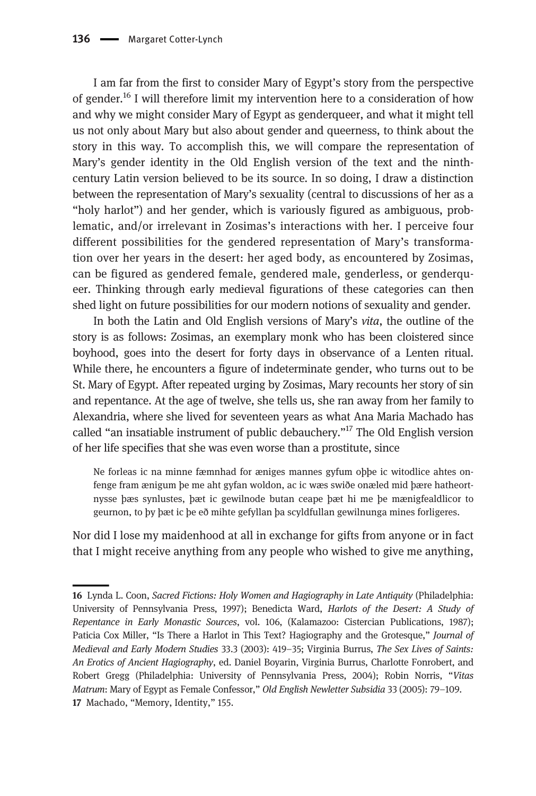I am far from the first to consider Mary of Egypt's story from the perspective of gender.16 I will therefore limit my intervention here to a consideration of how and why we might consider Mary of Egypt as genderqueer, and what it might tell us not only about Mary but also about gender and queerness, to think about the story in this way. To accomplish this, we will compare the representation of Mary's gender identity in the Old English version of the text and the ninthcentury Latin version believed to be its source. In so doing, I draw a distinction between the representation of Mary's sexuality (central to discussions of her as a "holy harlot") and her gender, which is variously figured as ambiguous, problematic, and/or irrelevant in Zosimas's interactions with her. I perceive four different possibilities for the gendered representation of Mary's transformation over her years in the desert: her aged body, as encountered by Zosimas, can be figured as gendered female, gendered male, genderless, or genderqueer. Thinking through early medieval figurations of these categories can then shed light on future possibilities for our modern notions of sexuality and gender.

In both the Latin and Old English versions of Mary's vita, the outline of the story is as follows: Zosimas, an exemplary monk who has been cloistered since boyhood, goes into the desert for forty days in observance of a Lenten ritual. While there, he encounters a figure of indeterminate gender, who turns out to be St. Mary of Egypt. After repeated urging by Zosimas, Mary recounts her story of sin and repentance. At the age of twelve, she tells us, she ran away from her family to Alexandria, where she lived for seventeen years as what Ana Maria Machado has called "an insatiable instrument of public debauchery."<sup>17</sup> The Old English version of her life specifies that she was even worse than a prostitute, since

Ne forleas ic na minne fæmnhad for æniges mannes gyfum oþþe ic witodlice ahtes onfenge fram ænigum þe me aht gyfan woldon, ac ic wæs swiðe onæled mid þære hatheortnysse þæs synlustes, þæt ic gewilnode butan ceape þæt hi me þe mænigfealdlicor to geurnon, to þy þæt ic þe eð mihte gefyllan þa scyldfullan gewilnunga mines forligeres.

Nor did I lose my maidenhood at all in exchange for gifts from anyone or in fact that I might receive anything from any people who wished to give me anything,

<sup>16</sup> Lynda L. Coon, Sacred Fictions: Holy Women and Hagiography in Late Antiquity (Philadelphia: University of Pennsylvania Press, 1997); Benedicta Ward, Harlots of the Desert: A Study of Repentance in Early Monastic Sources, vol. 106, (Kalamazoo: Cistercian Publications, 1987); Paticia Cox Miller, "Is There a Harlot in This Text? Hagiography and the Grotesque," Journal of Medieval and Early Modern Studies 33.3 (2003): 419–35; Virginia Burrus, The Sex Lives of Saints: An Erotics of Ancient Hagiography, ed. Daniel Boyarin, Virginia Burrus, Charlotte Fonrobert, and Robert Gregg (Philadelphia: University of Pennsylvania Press, 2004); Robin Norris, "Vitas Matrum: Mary of Egypt as Female Confessor," Old English Newletter Subsidia 33 (2005): 79–109. 17 Machado, "Memory, Identity," 155.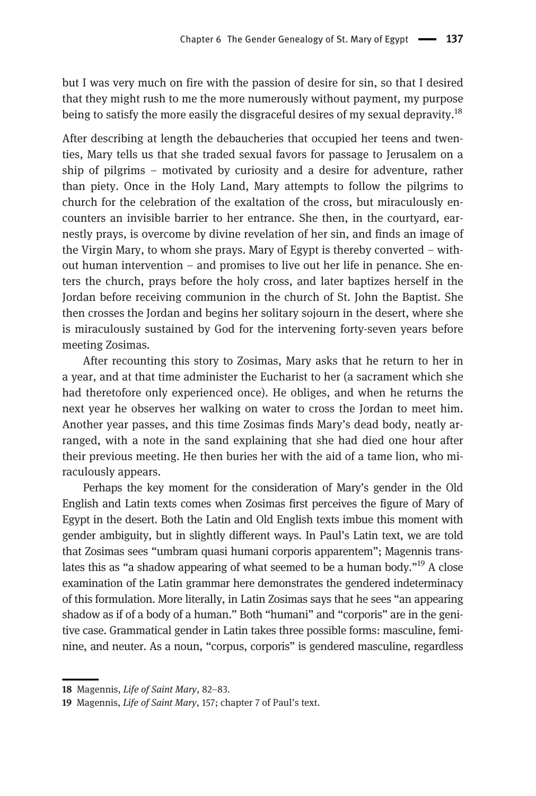but I was very much on fire with the passion of desire for sin, so that I desired that they might rush to me the more numerously without payment, my purpose being to satisfy the more easily the disgraceful desires of my sexual depravity.<sup>18</sup>

After describing at length the debaucheries that occupied her teens and twenties, Mary tells us that she traded sexual favors for passage to Jerusalem on a ship of pilgrims – motivated by curiosity and a desire for adventure, rather than piety. Once in the Holy Land, Mary attempts to follow the pilgrims to church for the celebration of the exaltation of the cross, but miraculously encounters an invisible barrier to her entrance. She then, in the courtyard, earnestly prays, is overcome by divine revelation of her sin, and finds an image of the Virgin Mary, to whom she prays. Mary of Egypt is thereby converted – without human intervention – and promises to live out her life in penance. She enters the church, prays before the holy cross, and later baptizes herself in the Jordan before receiving communion in the church of St. John the Baptist. She then crosses the Jordan and begins her solitary sojourn in the desert, where she is miraculously sustained by God for the intervening forty-seven years before meeting Zosimas.

After recounting this story to Zosimas, Mary asks that he return to her in a year, and at that time administer the Eucharist to her (a sacrament which she had theretofore only experienced once). He obliges, and when he returns the next year he observes her walking on water to cross the Jordan to meet him. Another year passes, and this time Zosimas finds Mary's dead body, neatly arranged, with a note in the sand explaining that she had died one hour after their previous meeting. He then buries her with the aid of a tame lion, who miraculously appears.

Perhaps the key moment for the consideration of Mary's gender in the Old English and Latin texts comes when Zosimas first perceives the figure of Mary of Egypt in the desert. Both the Latin and Old English texts imbue this moment with gender ambiguity, but in slightly different ways. In Paul's Latin text, we are told that Zosimas sees "umbram quasi humani corporis apparentem"; Magennis translates this as "a shadow appearing of what seemed to be a human body."<sup>19</sup> A close examination of the Latin grammar here demonstrates the gendered indeterminacy of this formulation. More literally, in Latin Zosimas says that he sees "an appearing shadow as if of a body of a human." Both "humani" and "corporis" are in the genitive case. Grammatical gender in Latin takes three possible forms: masculine, feminine, and neuter. As a noun, "corpus, corporis" is gendered masculine, regardless

<sup>18</sup> Magennis, Life of Saint Mary, 82-83.

<sup>19</sup> Magennis, Life of Saint Mary, 157; chapter 7 of Paul's text.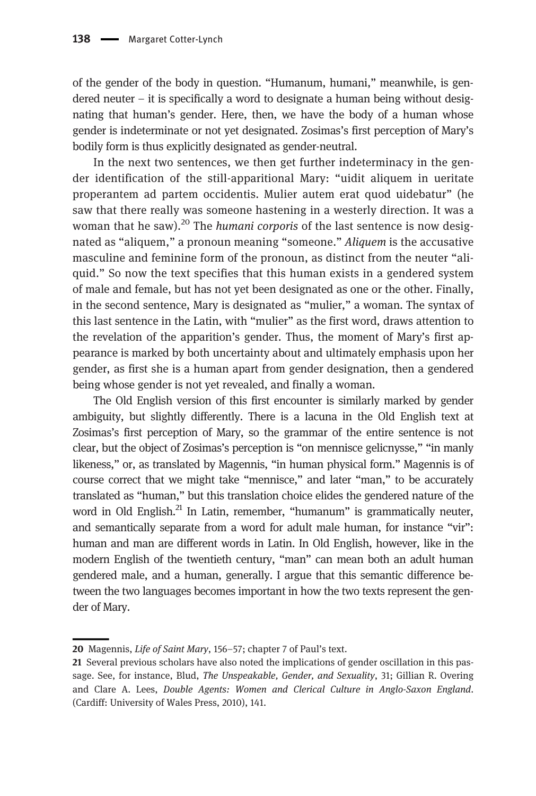of the gender of the body in question. "Humanum, humani," meanwhile, is gendered neuter  $-$  it is specifically a word to designate a human being without designating that human's gender. Here, then, we have the body of a human whose gender is indeterminate or not yet designated. Zosimas's first perception of Mary's bodily form is thus explicitly designated as gender-neutral.

In the next two sentences, we then get further indeterminacy in the gender identification of the still-apparitional Mary: "uidit aliquem in ueritate properantem ad partem occidentis. Mulier autem erat quod uidebatur" (he saw that there really was someone hastening in a westerly direction. It was a woman that he saw).<sup>20</sup> The *humani corporis* of the last sentence is now designated as "aliquem," a pronoun meaning "someone." Aliquem is the accusative masculine and feminine form of the pronoun, as distinct from the neuter "aliquid." So now the text specifies that this human exists in a gendered system of male and female, but has not yet been designated as one or the other. Finally, in the second sentence, Mary is designated as "mulier," a woman. The syntax of this last sentence in the Latin, with "mulier" as the first word, draws attention to the revelation of the apparition's gender. Thus, the moment of Mary's first appearance is marked by both uncertainty about and ultimately emphasis upon her gender, as first she is a human apart from gender designation, then a gendered being whose gender is not yet revealed, and finally a woman.

The Old English version of this first encounter is similarly marked by gender ambiguity, but slightly differently. There is a lacuna in the Old English text at Zosimas's first perception of Mary, so the grammar of the entire sentence is not clear, but the object of Zosimas's perception is "on mennisce gelicnysse," "in manly likeness," or, as translated by Magennis, "in human physical form." Magennis is of course correct that we might take "mennisce," and later "man," to be accurately translated as "human," but this translation choice elides the gendered nature of the word in Old English. $^{21}$  In Latin, remember, "humanum" is grammatically neuter, and semantically separate from a word for adult male human, for instance "vir": human and man are different words in Latin. In Old English, however, like in the modern English of the twentieth century, "man" can mean both an adult human gendered male, and a human, generally. I argue that this semantic difference between the two languages becomes important in how the two texts represent the gender of Mary.

<sup>20</sup> Magennis, Life of Saint Mary, 156-57; chapter 7 of Paul's text.

<sup>21</sup> Several previous scholars have also noted the implications of gender oscillation in this passage. See, for instance, Blud, The Unspeakable, Gender, and Sexuality, 31; Gillian R. Overing and Clare A. Lees, Double Agents: Women and Clerical Culture in Anglo-Saxon England. (Cardiff: University of Wales Press, 2010), 141.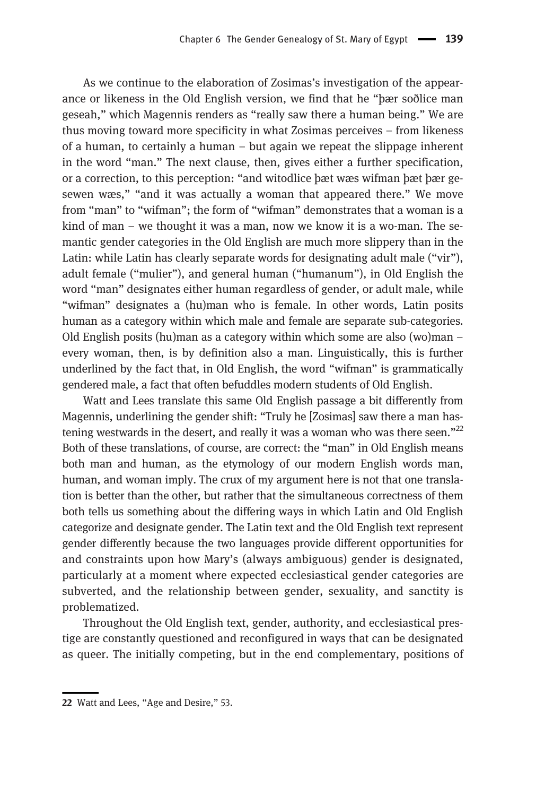As we continue to the elaboration of Zosimas's investigation of the appearance or likeness in the Old English version, we find that he "þær soðlice man geseah," which Magennis renders as "really saw there a human being." We are thus moving toward more specificity in what Zosimas perceives – from likeness of a human, to certainly a human – but again we repeat the slippage inherent in the word "man." The next clause, then, gives either a further specification, or a correction, to this perception: "and witodlice þæt wæs wifman þæt þær gesewen wæs," "and it was actually a woman that appeared there." We move from "man" to "wifman"; the form of "wifman" demonstrates that a woman is a kind of man – we thought it was a man, now we know it is a wo-man. The semantic gender categories in the Old English are much more slippery than in the Latin: while Latin has clearly separate words for designating adult male ("vir"), adult female ("mulier"), and general human ("humanum"), in Old English the word "man" designates either human regardless of gender, or adult male, while "wifman" designates a (hu)man who is female. In other words, Latin posits human as a category within which male and female are separate sub-categories. Old English posits (hu)man as a category within which some are also (wo)man – every woman, then, is by definition also a man. Linguistically, this is further underlined by the fact that, in Old English, the word "wifman" is grammatically gendered male, a fact that often befuddles modern students of Old English.

Watt and Lees translate this same Old English passage a bit differently from Magennis, underlining the gender shift: "Truly he [Zosimas] saw there a man hastening westwards in the desert, and really it was a woman who was there seen." $^{22}$ Both of these translations, of course, are correct: the "man" in Old English means both man and human, as the etymology of our modern English words man, human, and woman imply. The crux of my argument here is not that one translation is better than the other, but rather that the simultaneous correctness of them both tells us something about the differing ways in which Latin and Old English categorize and designate gender. The Latin text and the Old English text represent gender differently because the two languages provide different opportunities for and constraints upon how Mary's (always ambiguous) gender is designated, particularly at a moment where expected ecclesiastical gender categories are subverted, and the relationship between gender, sexuality, and sanctity is problematized.

Throughout the Old English text, gender, authority, and ecclesiastical prestige are constantly questioned and reconfigured in ways that can be designated as queer. The initially competing, but in the end complementary, positions of

<sup>22</sup> Watt and Lees, "Age and Desire," 53.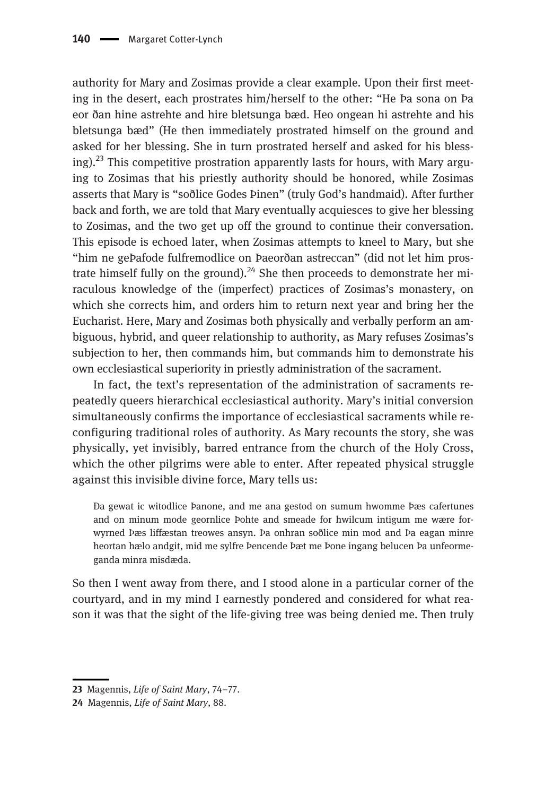authority for Mary and Zosimas provide a clear example. Upon their first meeting in the desert, each prostrates him/herself to the other: "He Þa sona on Þa eor ðan hine astrehte and hire bletsunga bæd. Heo ongean hi astrehte and his bletsunga bæd" (He then immediately prostrated himself on the ground and asked for her blessing. She in turn prostrated herself and asked for his blessing).<sup>23</sup> This competitive prostration apparently lasts for hours, with Mary arguing to Zosimas that his priestly authority should be honored, while Zosimas asserts that Mary is "soðlice Godes Þinen" (truly God's handmaid). After further back and forth, we are told that Mary eventually acquiesces to give her blessing to Zosimas, and the two get up off the ground to continue their conversation. This episode is echoed later, when Zosimas attempts to kneel to Mary, but she "him ne geÞafode fulfremodlice on Þaeorðan astreccan" (did not let him prostrate himself fully on the ground).<sup>24</sup> She then proceeds to demonstrate her miraculous knowledge of the (imperfect) practices of Zosimas's monastery, on which she corrects him, and orders him to return next year and bring her the Eucharist. Here, Mary and Zosimas both physically and verbally perform an ambiguous, hybrid, and queer relationship to authority, as Mary refuses Zosimas's subjection to her, then commands him, but commands him to demonstrate his own ecclesiastical superiority in priestly administration of the sacrament.

In fact, the text's representation of the administration of sacraments repeatedly queers hierarchical ecclesiastical authority. Mary's initial conversion simultaneously confirms the importance of ecclesiastical sacraments while reconfiguring traditional roles of authority. As Mary recounts the story, she was physically, yet invisibly, barred entrance from the church of the Holy Cross, which the other pilgrims were able to enter. After repeated physical struggle against this invisible divine force, Mary tells us:

Ða gewat ic witodlice Þanone, and me ana gestod on sumum hwomme Þæs cafertunes and on minum mode geornlice Þohte and smeade for hwilcum intigum me wære forwyrned Þæs liffæstan treowes ansyn. Þa onhran soðlice min mod and Þa eagan minre heortan hælo andgit, mid me sylfre Þencende Þæt me Þone ingang belucen Þa unfeormeganda minra misdæda.

So then I went away from there, and I stood alone in a particular corner of the courtyard, and in my mind I earnestly pondered and considered for what reason it was that the sight of the life-giving tree was being denied me. Then truly

<sup>23</sup> Magennis, Life of Saint Mary, 74–77.

<sup>24</sup> Magennis, Life of Saint Mary, 88.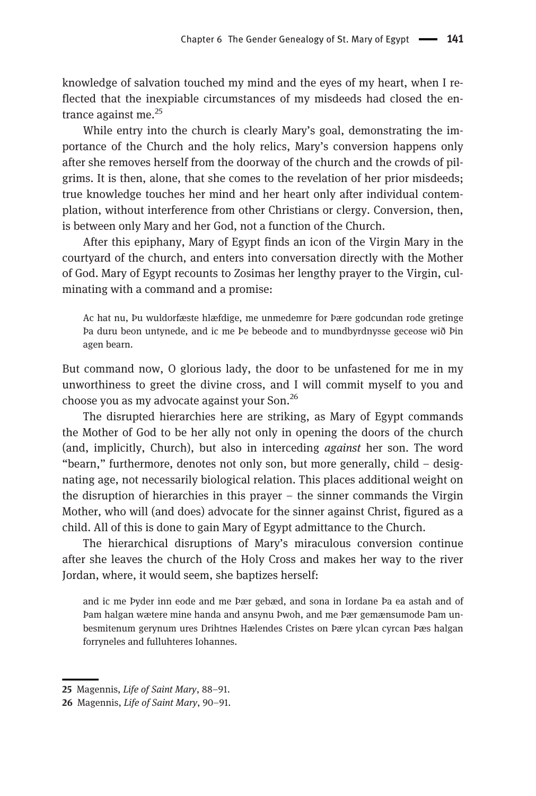knowledge of salvation touched my mind and the eyes of my heart, when I reflected that the inexpiable circumstances of my misdeeds had closed the entrance against me. $^{25}$ 

While entry into the church is clearly Mary's goal, demonstrating the importance of the Church and the holy relics, Mary's conversion happens only after she removes herself from the doorway of the church and the crowds of pilgrims. It is then, alone, that she comes to the revelation of her prior misdeeds; true knowledge touches her mind and her heart only after individual contemplation, without interference from other Christians or clergy. Conversion, then, is between only Mary and her God, not a function of the Church.

After this epiphany, Mary of Egypt finds an icon of the Virgin Mary in the courtyard of the church, and enters into conversation directly with the Mother of God. Mary of Egypt recounts to Zosimas her lengthy prayer to the Virgin, culminating with a command and a promise:

Ac hat nu, Þu wuldorfæste hlæfdige, me unmedemre for Þære godcundan rode gretinge Þa duru beon untynede, and ic me Þe bebeode and to mundbyrdnysse geceose wið Þin agen bearn.

But command now, O glorious lady, the door to be unfastened for me in my unworthiness to greet the divine cross, and I will commit myself to you and choose you as my advocate against your Son.<sup>26</sup>

The disrupted hierarchies here are striking, as Mary of Egypt commands the Mother of God to be her ally not only in opening the doors of the church (and, implicitly, Church), but also in interceding *against* her son. The word "bearn," furthermore, denotes not only son, but more generally, child – designating age, not necessarily biological relation. This places additional weight on the disruption of hierarchies in this prayer – the sinner commands the Virgin Mother, who will (and does) advocate for the sinner against Christ, figured as a child. All of this is done to gain Mary of Egypt admittance to the Church.

The hierarchical disruptions of Mary's miraculous conversion continue after she leaves the church of the Holy Cross and makes her way to the river Jordan, where, it would seem, she baptizes herself:

and ic me Þyder inn eode and me Þær gebæd, and sona in Iordane Þa ea astah and of Þam halgan wætere mine handa and ansynu Þwoh, and me Þær gemænsumode Þam unbesmitenum gerynum ures Drihtnes Hælendes Cristes on Þære ylcan cyrcan Þæs halgan forryneles and fulluhteres Iohannes.

<sup>25</sup> Magennis, Life of Saint Mary, 88–91.

<sup>26</sup> Magennis, Life of Saint Mary, 90–91.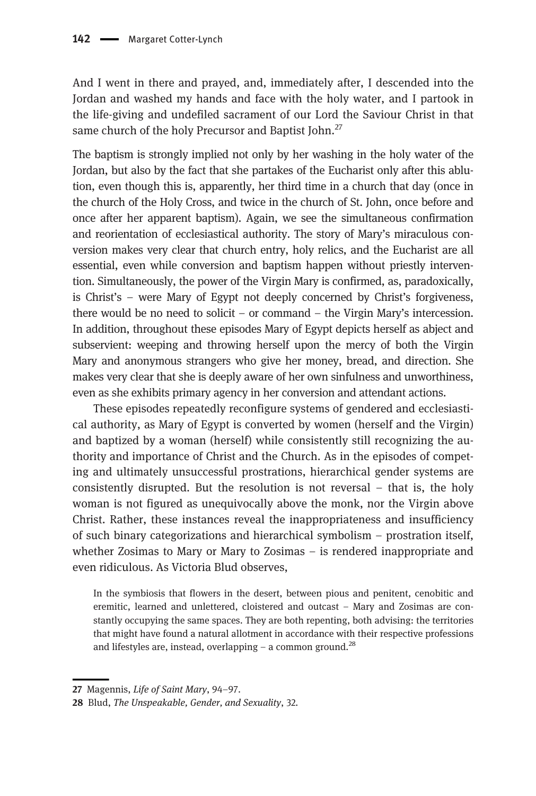And I went in there and prayed, and, immediately after, I descended into the Jordan and washed my hands and face with the holy water, and I partook in the life-giving and undefiled sacrament of our Lord the Saviour Christ in that same church of the holy Precursor and Baptist John.<sup>27</sup>

The baptism is strongly implied not only by her washing in the holy water of the Jordan, but also by the fact that she partakes of the Eucharist only after this ablution, even though this is, apparently, her third time in a church that day (once in the church of the Holy Cross, and twice in the church of St. John, once before and once after her apparent baptism). Again, we see the simultaneous confirmation and reorientation of ecclesiastical authority. The story of Mary's miraculous conversion makes very clear that church entry, holy relics, and the Eucharist are all essential, even while conversion and baptism happen without priestly intervention. Simultaneously, the power of the Virgin Mary is confirmed, as, paradoxically, is Christ's – were Mary of Egypt not deeply concerned by Christ's forgiveness, there would be no need to solicit – or command – the Virgin Mary's intercession. In addition, throughout these episodes Mary of Egypt depicts herself as abject and subservient: weeping and throwing herself upon the mercy of both the Virgin Mary and anonymous strangers who give her money, bread, and direction. She makes very clear that she is deeply aware of her own sinfulness and unworthiness, even as she exhibits primary agency in her conversion and attendant actions.

These episodes repeatedly reconfigure systems of gendered and ecclesiastical authority, as Mary of Egypt is converted by women (herself and the Virgin) and baptized by a woman (herself) while consistently still recognizing the authority and importance of Christ and the Church. As in the episodes of competing and ultimately unsuccessful prostrations, hierarchical gender systems are consistently disrupted. But the resolution is not reversal – that is, the holy woman is not figured as unequivocally above the monk, nor the Virgin above Christ. Rather, these instances reveal the inappropriateness and insufficiency of such binary categorizations and hierarchical symbolism – prostration itself, whether Zosimas to Mary or Mary to Zosimas – is rendered inappropriate and even ridiculous. As Victoria Blud observes,

In the symbiosis that flowers in the desert, between pious and penitent, cenobitic and eremitic, learned and unlettered, cloistered and outcast – Mary and Zosimas are constantly occupying the same spaces. They are both repenting, both advising: the territories that might have found a natural allotment in accordance with their respective professions and lifestyles are, instead, overlapping  $-$  a common ground.<sup>28</sup>

<sup>27</sup> Magennis, Life of Saint Mary, 94–97.

<sup>28</sup> Blud, The Unspeakable, Gender, and Sexuality, 32.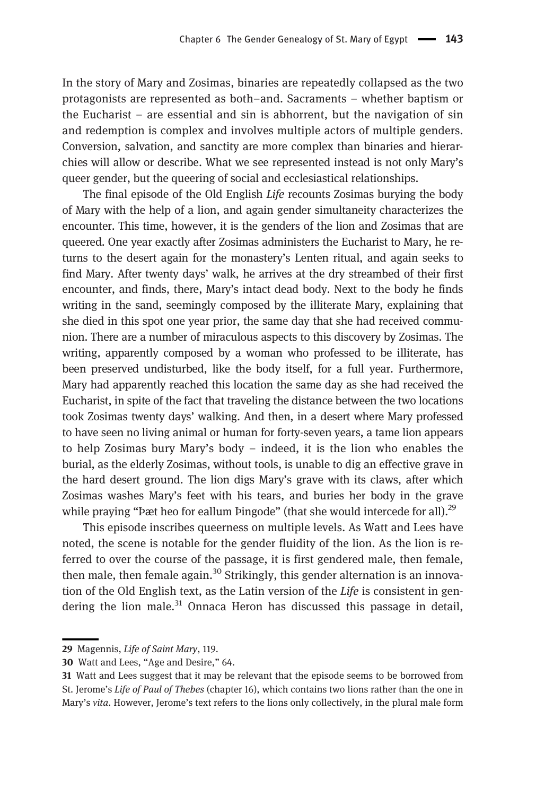In the story of Mary and Zosimas, binaries are repeatedly collapsed as the two protagonists are represented as both–and. Sacraments – whether baptism or the Eucharist – are essential and sin is abhorrent, but the navigation of sin and redemption is complex and involves multiple actors of multiple genders. Conversion, salvation, and sanctity are more complex than binaries and hierarchies will allow or describe. What we see represented instead is not only Mary's queer gender, but the queering of social and ecclesiastical relationships.

The final episode of the Old English Life recounts Zosimas burying the body of Mary with the help of a lion, and again gender simultaneity characterizes the encounter. This time, however, it is the genders of the lion and Zosimas that are queered. One year exactly after Zosimas administers the Eucharist to Mary, he returns to the desert again for the monastery's Lenten ritual, and again seeks to find Mary. After twenty days' walk, he arrives at the dry streambed of their first encounter, and finds, there, Mary's intact dead body. Next to the body he finds writing in the sand, seemingly composed by the illiterate Mary, explaining that she died in this spot one year prior, the same day that she had received communion. There are a number of miraculous aspects to this discovery by Zosimas. The writing, apparently composed by a woman who professed to be illiterate, has been preserved undisturbed, like the body itself, for a full year. Furthermore, Mary had apparently reached this location the same day as she had received the Eucharist, in spite of the fact that traveling the distance between the two locations took Zosimas twenty days' walking. And then, in a desert where Mary professed to have seen no living animal or human for forty-seven years, a tame lion appears to help Zosimas bury Mary's body – indeed, it is the lion who enables the burial, as the elderly Zosimas, without tools, is unable to dig an effective grave in the hard desert ground. The lion digs Mary's grave with its claws, after which Zosimas washes Mary's feet with his tears, and buries her body in the grave while praying "Þæt heo for eallum Þingode" (that she would intercede for all). $^{29}$ 

This episode inscribes queerness on multiple levels. As Watt and Lees have noted, the scene is notable for the gender fluidity of the lion. As the lion is referred to over the course of the passage, it is first gendered male, then female, then male, then female again.<sup>30</sup> Strikingly, this gender alternation is an innovation of the Old English text, as the Latin version of the Life is consistent in gendering the lion male.<sup>31</sup> Onnaca Heron has discussed this passage in detail,

<sup>29</sup> Magennis, Life of Saint Mary, 119.

<sup>30</sup> Watt and Lees, "Age and Desire," 64.

<sup>31</sup> Watt and Lees suggest that it may be relevant that the episode seems to be borrowed from St. Jerome's Life of Paul of Thebes (chapter 16), which contains two lions rather than the one in Mary's vita. However, Jerome's text refers to the lions only collectively, in the plural male form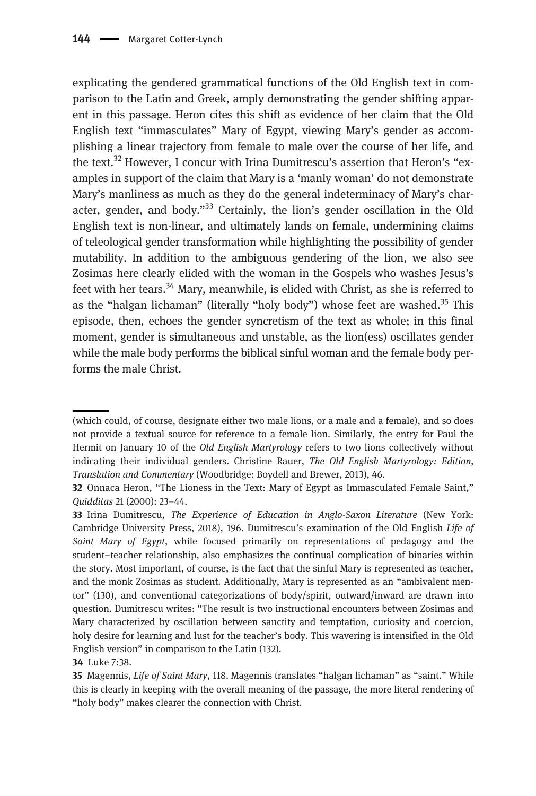explicating the gendered grammatical functions of the Old English text in comparison to the Latin and Greek, amply demonstrating the gender shifting apparent in this passage. Heron cites this shift as evidence of her claim that the Old English text "immasculates" Mary of Egypt, viewing Mary's gender as accomplishing a linear trajectory from female to male over the course of her life, and the text.<sup>32</sup> However, I concur with Irina Dumitrescu's assertion that Heron's "examples in support of the claim that Mary is a 'manly woman' do not demonstrate Mary's manliness as much as they do the general indeterminacy of Mary's character, gender, and body."<sup>33</sup> Certainly, the lion's gender oscillation in the Old English text is non-linear, and ultimately lands on female, undermining claims of teleological gender transformation while highlighting the possibility of gender mutability. In addition to the ambiguous gendering of the lion, we also see Zosimas here clearly elided with the woman in the Gospels who washes Jesus's feet with her tears.<sup>34</sup> Mary, meanwhile, is elided with Christ, as she is referred to as the "halgan lichaman" (literally "holy body") whose feet are washed.<sup>35</sup> This episode, then, echoes the gender syncretism of the text as whole; in this final moment, gender is simultaneous and unstable, as the lion(ess) oscillates gender while the male body performs the biblical sinful woman and the female body performs the male Christ.

<sup>(</sup>which could, of course, designate either two male lions, or a male and a female), and so does not provide a textual source for reference to a female lion. Similarly, the entry for Paul the Hermit on January 10 of the Old English Martyrology refers to two lions collectively without indicating their individual genders. Christine Rauer, The Old English Martyrology: Edition, Translation and Commentary (Woodbridge: Boydell and Brewer, 2013), 46.

<sup>32</sup> Onnaca Heron, "The Lioness in the Text: Mary of Egypt as Immasculated Female Saint," Quidditas 21 (2000): 23–44.

<sup>33</sup> Irina Dumitrescu, The Experience of Education in Anglo-Saxon Literature (New York: Cambridge University Press, 2018), 196. Dumitrescu's examination of the Old English Life of Saint Mary of Egypt, while focused primarily on representations of pedagogy and the student–teacher relationship, also emphasizes the continual complication of binaries within the story. Most important, of course, is the fact that the sinful Mary is represented as teacher, and the monk Zosimas as student. Additionally, Mary is represented as an "ambivalent mentor" (130), and conventional categorizations of body/spirit, outward/inward are drawn into question. Dumitrescu writes: "The result is two instructional encounters between Zosimas and Mary characterized by oscillation between sanctity and temptation, curiosity and coercion, holy desire for learning and lust for the teacher's body. This wavering is intensified in the Old English version" in comparison to the Latin (132).

<sup>34</sup> Luke 7:38.

<sup>35</sup> Magennis, *Life of Saint Mary*, 118. Magennis translates "halgan lichaman" as "saint." While this is clearly in keeping with the overall meaning of the passage, the more literal rendering of "holy body" makes clearer the connection with Christ.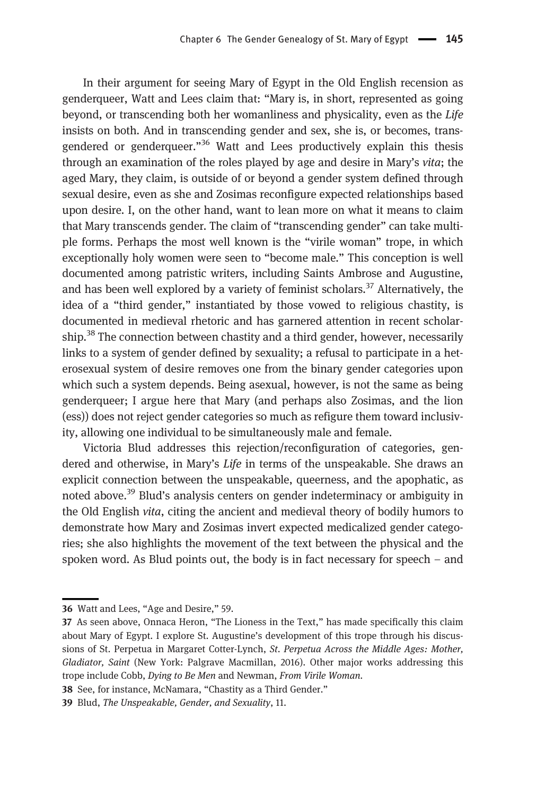In their argument for seeing Mary of Egypt in the Old English recension as genderqueer, Watt and Lees claim that: "Mary is, in short, represented as going beyond, or transcending both her womanliness and physicality, even as the Life insists on both. And in transcending gender and sex, she is, or becomes, transgendered or genderqueer."<sup>36</sup> Watt and Lees productively explain this thesis through an examination of the roles played by age and desire in Mary's vita; the aged Mary, they claim, is outside of or beyond a gender system defined through sexual desire, even as she and Zosimas reconfigure expected relationships based upon desire. I, on the other hand, want to lean more on what it means to claim that Mary transcends gender. The claim of "transcending gender" can take multiple forms. Perhaps the most well known is the "virile woman" trope, in which exceptionally holy women were seen to "become male." This conception is well documented among patristic writers, including Saints Ambrose and Augustine, and has been well explored by a variety of feminist scholars.<sup>37</sup> Alternatively, the idea of a "third gender," instantiated by those vowed to religious chastity, is documented in medieval rhetoric and has garnered attention in recent scholarship.<sup>38</sup> The connection between chastity and a third gender, however, necessarily links to a system of gender defined by sexuality; a refusal to participate in a heterosexual system of desire removes one from the binary gender categories upon which such a system depends. Being asexual, however, is not the same as being genderqueer; I argue here that Mary (and perhaps also Zosimas, and the lion (ess)) does not reject gender categories so much as refigure them toward inclusivity, allowing one individual to be simultaneously male and female.

Victoria Blud addresses this rejection/reconfiguration of categories, gendered and otherwise, in Mary's Life in terms of the unspeakable. She draws an explicit connection between the unspeakable, queerness, and the apophatic, as noted above.<sup>39</sup> Blud's analysis centers on gender indeterminacy or ambiguity in the Old English vita, citing the ancient and medieval theory of bodily humors to demonstrate how Mary and Zosimas invert expected medicalized gender categories; she also highlights the movement of the text between the physical and the spoken word. As Blud points out, the body is in fact necessary for speech – and

<sup>36</sup> Watt and Lees, "Age and Desire," 59.

<sup>37</sup> As seen above, Onnaca Heron, "The Lioness in the Text," has made specifically this claim about Mary of Egypt. I explore St. Augustine's development of this trope through his discussions of St. Perpetua in Margaret Cotter-Lynch, St. Perpetua Across the Middle Ages: Mother, Gladiator, Saint (New York: Palgrave Macmillan, 2016). Other major works addressing this trope include Cobb, Dying to Be Men and Newman, From Virile Woman.

<sup>38</sup> See, for instance, McNamara, "Chastity as a Third Gender."

<sup>39</sup> Blud, The Unspeakable, Gender, and Sexuality, 11.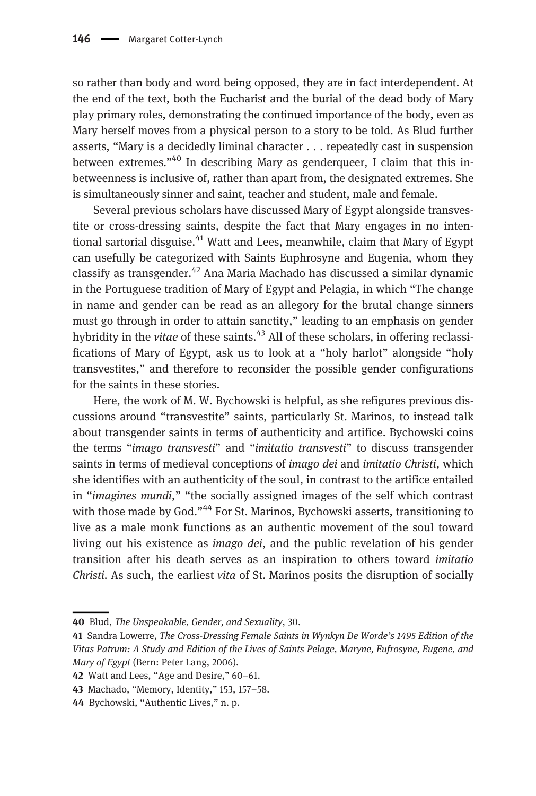so rather than body and word being opposed, they are in fact interdependent. At the end of the text, both the Eucharist and the burial of the dead body of Mary play primary roles, demonstrating the continued importance of the body, even as Mary herself moves from a physical person to a story to be told. As Blud further asserts, "Mary is a decidedly liminal character . . . repeatedly cast in suspension between extremes."<sup>40</sup> In describing Mary as genderqueer, I claim that this inbetweenness is inclusive of, rather than apart from, the designated extremes. She is simultaneously sinner and saint, teacher and student, male and female.

Several previous scholars have discussed Mary of Egypt alongside transvestite or cross-dressing saints, despite the fact that Mary engages in no intentional sartorial disguise.<sup>41</sup> Watt and Lees, meanwhile, claim that Mary of Egypt can usefully be categorized with Saints Euphrosyne and Eugenia, whom they classify as transgender.<sup>42</sup> Ana Maria Machado has discussed a similar dynamic in the Portuguese tradition of Mary of Egypt and Pelagia, in which "The change in name and gender can be read as an allegory for the brutal change sinners must go through in order to attain sanctity," leading to an emphasis on gender hybridity in the *vitae* of these saints.<sup>43</sup> All of these scholars, in offering reclassifications of Mary of Egypt, ask us to look at a "holy harlot" alongside "holy transvestites," and therefore to reconsider the possible gender configurations for the saints in these stories.

Here, the work of M. W. Bychowski is helpful, as she refigures previous discussions around "transvestite" saints, particularly St. Marinos, to instead talk about transgender saints in terms of authenticity and artifice. Bychowski coins the terms "imago transvesti" and "imitatio transvesti" to discuss transgender saints in terms of medieval conceptions of imago dei and imitatio Christi, which she identifies with an authenticity of the soul, in contrast to the artifice entailed in "imagines mundi," "the socially assigned images of the self which contrast with those made by God."<sup>44</sup> For St. Marinos, Bychowski asserts, transitioning to live as a male monk functions as an authentic movement of the soul toward living out his existence as imago dei, and the public revelation of his gender transition after his death serves as an inspiration to others toward imitatio Christi. As such, the earliest vita of St. Marinos posits the disruption of socially

<sup>40</sup> Blud, The Unspeakable, Gender, and Sexuality, 30.

<sup>41</sup> Sandra Lowerre, The Cross-Dressing Female Saints in Wynkyn De Worde's 1495 Edition of the Vitas Patrum: A Study and Edition of the Lives of Saints Pelage, Maryne, Eufrosyne, Eugene, and Mary of Egypt (Bern: Peter Lang, 2006).

<sup>42</sup> Watt and Lees, "Age and Desire," 60–61.

<sup>43</sup> Machado, "Memory, Identity," 153, 157–58.

<sup>44</sup> Bychowski, "Authentic Lives," n. p.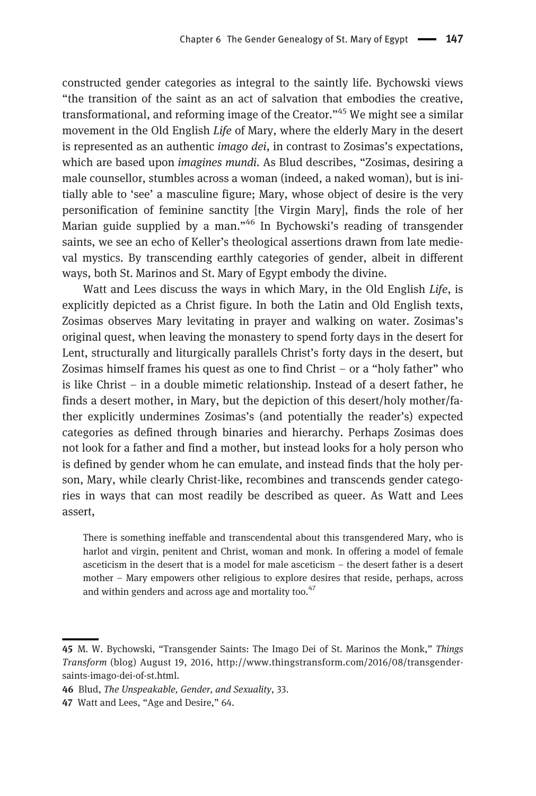constructed gender categories as integral to the saintly life. Bychowski views "the transition of the saint as an act of salvation that embodies the creative, transformational, and reforming image of the Creator."<sup>45</sup> We might see a similar movement in the Old English Life of Mary, where the elderly Mary in the desert is represented as an authentic *imago dei*, in contrast to Zosimas's expectations, which are based upon *imagines mundi*. As Blud describes, "Zosimas, desiring a male counsellor, stumbles across a woman (indeed, a naked woman), but is initially able to 'see' a masculine figure; Mary, whose object of desire is the very personification of feminine sanctity [the Virgin Mary], finds the role of her Marian guide supplied by a man."<sup>46</sup> In Bychowski's reading of transgender saints, we see an echo of Keller's theological assertions drawn from late medieval mystics. By transcending earthly categories of gender, albeit in different ways, both St. Marinos and St. Mary of Egypt embody the divine.

Watt and Lees discuss the ways in which Mary, in the Old English Life, is explicitly depicted as a Christ figure. In both the Latin and Old English texts, Zosimas observes Mary levitating in prayer and walking on water. Zosimas's original quest, when leaving the monastery to spend forty days in the desert for Lent, structurally and liturgically parallels Christ's forty days in the desert, but Zosimas himself frames his quest as one to find Christ – or a "holy father" who is like Christ – in a double mimetic relationship. Instead of a desert father, he finds a desert mother, in Mary, but the depiction of this desert/holy mother/father explicitly undermines Zosimas's (and potentially the reader's) expected categories as defined through binaries and hierarchy. Perhaps Zosimas does not look for a father and find a mother, but instead looks for a holy person who is defined by gender whom he can emulate, and instead finds that the holy person, Mary, while clearly Christ-like, recombines and transcends gender categories in ways that can most readily be described as queer. As Watt and Lees assert,

There is something ineffable and transcendental about this transgendered Mary, who is harlot and virgin, penitent and Christ, woman and monk. In offering a model of female asceticism in the desert that is a model for male asceticism – the desert father is a desert mother – Mary empowers other religious to explore desires that reside, perhaps, across and within genders and across age and mortality too.<sup>47</sup>

<sup>45</sup> M. W. Bychowski, "Transgender Saints: The Imago Dei of St. Marinos the Monk," Things Transform (blog) August 19, 2016, [http://www.thingstransform.com/2016/08/transgender](http://www.thingstransform.com/2016/08/transgender-saints-imago-dei-of-st.html)[saints-imago-dei-of-st.html.](http://www.thingstransform.com/2016/08/transgender-saints-imago-dei-of-st.html)

<sup>46</sup> Blud, The Unspeakable, Gender, and Sexuality, 33.

<sup>47</sup> Watt and Lees, "Age and Desire," 64.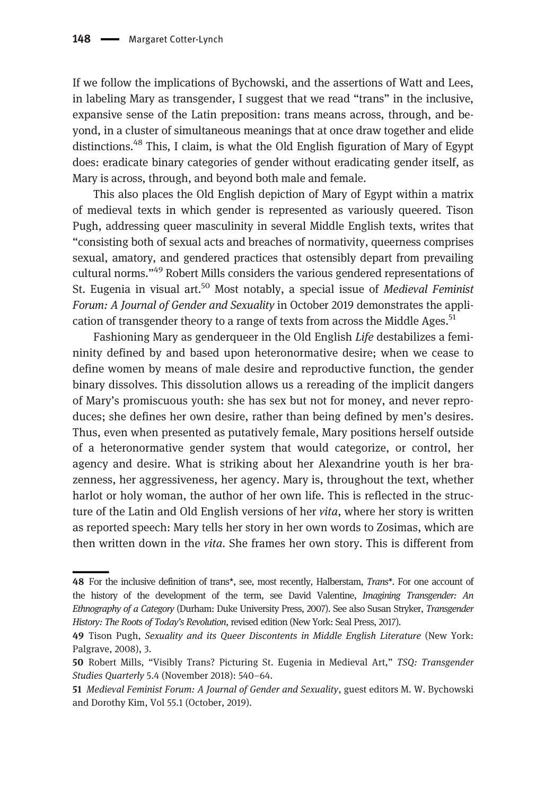If we follow the implications of Bychowski, and the assertions of Watt and Lees, in labeling Mary as transgender, I suggest that we read "trans" in the inclusive, expansive sense of the Latin preposition: trans means across, through, and beyond, in a cluster of simultaneous meanings that at once draw together and elide distinctions.<sup>48</sup> This, I claim, is what the Old English figuration of Mary of Egypt does: eradicate binary categories of gender without eradicating gender itself, as Mary is across, through, and beyond both male and female.

This also places the Old English depiction of Mary of Egypt within a matrix of medieval texts in which gender is represented as variously queered. Tison Pugh, addressing queer masculinity in several Middle English texts, writes that "consisting both of sexual acts and breaches of normativity, queerness comprises sexual, amatory, and gendered practices that ostensibly depart from prevailing cultural norms."<sup>49</sup> Robert Mills considers the various gendered representations of St. Eugenia in visual art.<sup>50</sup> Most notably, a special issue of *Medieval Feminist* Forum: A Journal of Gender and Sexuality in October 2019 demonstrates the application of transgender theory to a range of texts from across the Middle Ages.<sup>51</sup>

Fashioning Mary as genderqueer in the Old English Life destabilizes a femininity defined by and based upon heteronormative desire; when we cease to define women by means of male desire and reproductive function, the gender binary dissolves. This dissolution allows us a rereading of the implicit dangers of Mary's promiscuous youth: she has sex but not for money, and never reproduces; she defines her own desire, rather than being defined by men's desires. Thus, even when presented as putatively female, Mary positions herself outside of a heteronormative gender system that would categorize, or control, her agency and desire. What is striking about her Alexandrine youth is her brazenness, her aggressiveness, her agency. Mary is, throughout the text, whether harlot or holy woman, the author of her own life. This is reflected in the structure of the Latin and Old English versions of her vita, where her story is written as reported speech: Mary tells her story in her own words to Zosimas, which are then written down in the vita. She frames her own story. This is different from

<sup>48</sup> For the inclusive definition of trans\*, see, most recently, Halberstam, Trans\*. For one account of the history of the development of the term, see David Valentine, Imagining Transgender: An Ethnography of a Category (Durham: Duke University Press, 2007). See also Susan Stryker, Transgender History: The Roots of Today's Revolution, revised edition (New York: Seal Press, 2017).

<sup>49</sup> Tison Pugh, Sexuality and its Queer Discontents in Middle English Literature (New York: Palgrave, 2008), 3.

<sup>50</sup> Robert Mills, "Visibly Trans? Picturing St. Eugenia in Medieval Art," TSQ: Transgender Studies Quarterly 5.4 (November 2018): 540–64.

<sup>51</sup> Medieval Feminist Forum: A Journal of Gender and Sexuality, guest editors M. W. Bychowski and Dorothy Kim, Vol 55.1 (October, 2019).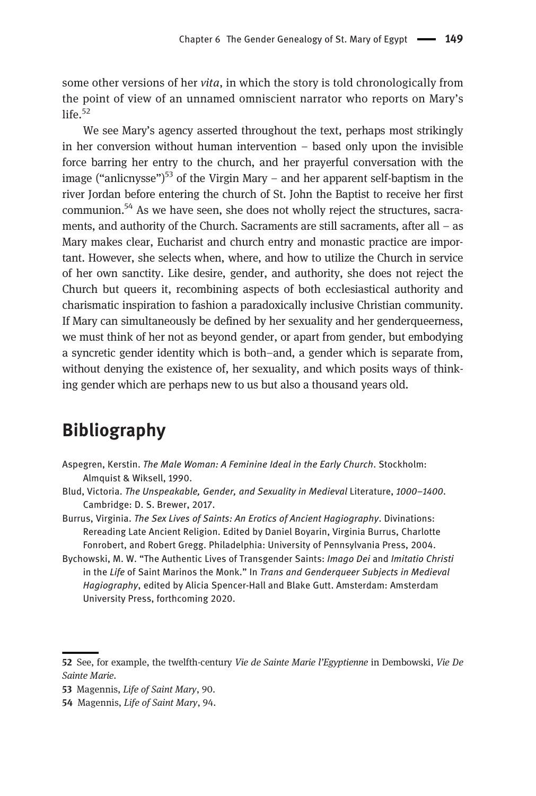some other versions of her vita, in which the story is told chronologically from the point of view of an unnamed omniscient narrator who reports on Mary's  $l$ ife $^{52}$ 

We see Mary's agency asserted throughout the text, perhaps most strikingly in her conversion without human intervention – based only upon the invisible force barring her entry to the church, and her prayerful conversation with the image ("anlicnysse")<sup>53</sup> of the Virgin Mary – and her apparent self-baptism in the river Jordan before entering the church of St. John the Baptist to receive her first communion.<sup>54</sup> As we have seen, she does not wholly reject the structures, sacraments, and authority of the Church. Sacraments are still sacraments, after all – as Mary makes clear, Eucharist and church entry and monastic practice are important. However, she selects when, where, and how to utilize the Church in service of her own sanctity. Like desire, gender, and authority, she does not reject the Church but queers it, recombining aspects of both ecclesiastical authority and charismatic inspiration to fashion a paradoxically inclusive Christian community. If Mary can simultaneously be defined by her sexuality and her genderqueerness, we must think of her not as beyond gender, or apart from gender, but embodying a syncretic gender identity which is both–and, a gender which is separate from, without denying the existence of, her sexuality, and which posits ways of thinking gender which are perhaps new to us but also a thousand years old.

## Bibliography

- Aspegren, Kerstin. The Male Woman: A Feminine Ideal in the Early Church. Stockholm: Almquist & Wiksell, 1990.
- Blud, Victoria. The Unspeakable, Gender, and Sexuality in Medieval Literature, 1000–1400. Cambridge: D. S. Brewer, 2017.
- Burrus, Virginia. The Sex Lives of Saints: An Erotics of Ancient Hagiography. Divinations: Rereading Late Ancient Religion. Edited by Daniel Boyarin, Virginia Burrus, Charlotte Fonrobert, and Robert Gregg. Philadelphia: University of Pennsylvania Press, 2004.
- Bychowski, M. W. "The Authentic Lives of Transgender Saints: Imago Dei and Imitatio Christi in the Life of Saint Marinos the Monk." In Trans and Genderqueer Subjects in Medieval Hagiography, edited by Alicia Spencer-Hall and Blake Gutt. Amsterdam: Amsterdam University Press, forthcoming 2020.

<sup>52</sup> See, for example, the twelfth-century Vie de Sainte Marie l'Egyptienne in Dembowski, Vie De Sainte Marie.

<sup>53</sup> Magennis, Life of Saint Mary, 90.

<sup>54</sup> Magennis, Life of Saint Mary, 94.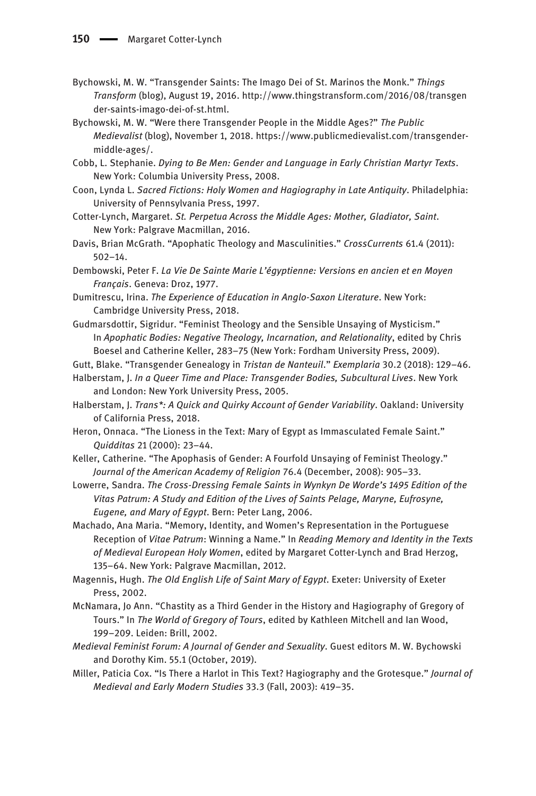- Bychowski, M. W. "Transgender Saints: The Imago Dei of St. Marinos the Monk." Things Transform (blog), August 19, 2016. [http://www.thingstransform.com/2016/08/transgen](http://www.thingstransform.com/2016/08/transgender-saints-imago-dei-of-st.html) [der-saints-imago-dei-of-st.html.](http://www.thingstransform.com/2016/08/transgender-saints-imago-dei-of-st.html)
- Bychowski, M. W. "Were there Transgender People in the Middle Ages?" The Public Medievalist (blog), November 1, 2018. [https://www.publicmedievalist.com/transgender](https://www.publicmedievalist.com/transgender-middle-ages/)[middle-ages/](https://www.publicmedievalist.com/transgender-middle-ages/).
- Cobb, L. Stephanie. Dying to Be Men: Gender and Language in Early Christian Martyr Texts. New York: Columbia University Press, 2008.
- Coon, Lynda L. Sacred Fictions: Holy Women and Hagiography in Late Antiquity. Philadelphia: University of Pennsylvania Press, 1997.
- Cotter-Lynch, Margaret. St. Perpetua Across the Middle Ages: Mother, Gladiator, Saint. New York: Palgrave Macmillan, 2016.
- Davis, Brian McGrath. "Apophatic Theology and Masculinities." CrossCurrents 61.4 (2011): 502–14.
- Dembowski, Peter F. La Vie De Sainte Marie L'égyptienne: Versions en ancien et en Moyen Français. Geneva: Droz, 1977.
- Dumitrescu, Irina. The Experience of Education in Anglo-Saxon Literature. New York: Cambridge University Press, 2018.
- Gudmarsdottir, Sigridur. "Feminist Theology and the Sensible Unsaying of Mysticism." In Apophatic Bodies: Negative Theology, Incarnation, and Relationality, edited by Chris Boesel and Catherine Keller, 283–75 (New York: Fordham University Press, 2009).
- Gutt, Blake. "Transgender Genealogy in Tristan de Nanteuil." Exemplaria 30.2 (2018): 129–46.
- Halberstam, J. In a Queer Time and Place: Transgender Bodies, Subcultural Lives. New York and London: New York University Press, 2005.
- Halberstam, J. Trans\*: A Quick and Quirky Account of Gender Variability. Oakland: University of California Press, 2018.
- Heron, Onnaca. "The Lioness in the Text: Mary of Egypt as Immasculated Female Saint." Quidditas 21 (2000): 23–44.
- Keller, Catherine. "The Apophasis of Gender: A Fourfold Unsaying of Feminist Theology." Journal of the American Academy of Religion 76.4 (December, 2008): 905–33.
- Lowerre, Sandra. The Cross-Dressing Female Saints in Wynkyn De Worde's 1495 Edition of the Vitas Patrum: A Study and Edition of the Lives of Saints Pelage, Maryne, Eufrosyne, Eugene, and Mary of Egypt. Bern: Peter Lang, 2006.
- Machado, Ana Maria. "Memory, Identity, and Women's Representation in the Portuguese Reception of Vitae Patrum: Winning a Name." In Reading Memory and Identity in the Texts of Medieval European Holy Women, edited by Margaret Cotter-Lynch and Brad Herzog, 135–64. New York: Palgrave Macmillan, 2012.
- Magennis, Hugh. The Old English Life of Saint Mary of Egypt. Exeter: University of Exeter Press, 2002.
- McNamara, Jo Ann. "Chastity as a Third Gender in the History and Hagiography of Gregory of Tours." In The World of Gregory of Tours, edited by Kathleen Mitchell and Ian Wood, 199–209. Leiden: Brill, 2002.
- Medieval Feminist Forum: A Journal of Gender and Sexuality. Guest editors M. W. Bychowski and Dorothy Kim. 55.1 (October, 2019).
- Miller, Paticia Cox. "Is There a Harlot in This Text? Hagiography and the Grotesque." Journal of Medieval and Early Modern Studies 33.3 (Fall, 2003): 419–35.